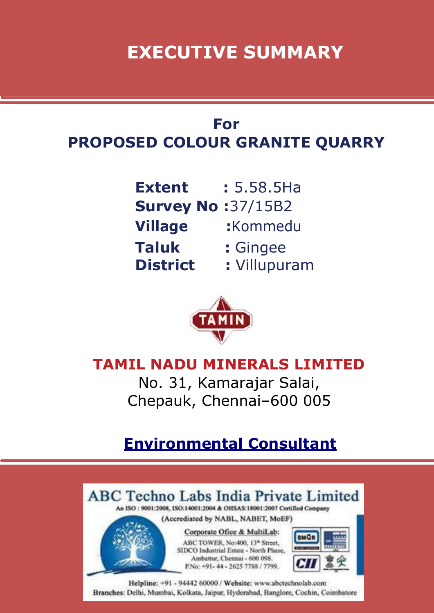# **EXECUTIVE SUMMARY**

## **For PROPOSED COLOUR GRANITE QUARRY**

| <b>Extent</b>             | $: 5.58.5$ Ha |
|---------------------------|---------------|
| <b>Survey No: 37/15B2</b> |               |
| <b>Village</b>            | :Kommedu      |
| Taluk                     | : Gingee      |
| <b>District</b>           | : Villupuram  |



## **TAMIL NADU MINERALS LIMITED**

No. 31, Kamarajar Salai, Chepauk, Chennai–600 005

## **Environmental Consultant**

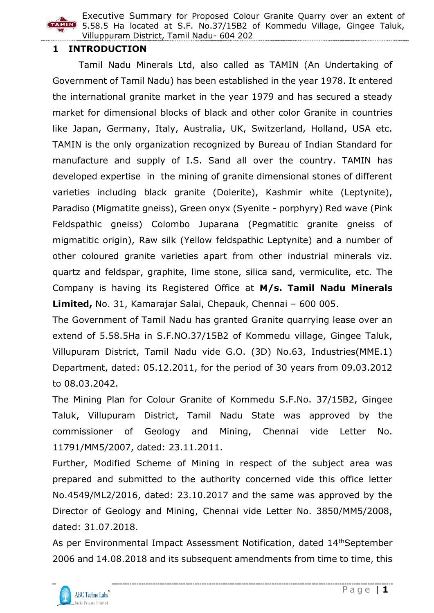## **1 INTRODUCTION**

Tamil Nadu Minerals Ltd, also called as TAMIN (An Undertaking of Government of Tamil Nadu) has been established in the year 1978. It entered the international granite market in the year 1979 and has secured a steady market for dimensional blocks of black and other color Granite in countries like Japan, Germany, Italy, Australia, UK, Switzerland, Holland, USA etc. TAMIN is the only organization recognized by Bureau of Indian Standard for manufacture and supply of I.S. Sand all over the country. TAMIN has developed expertise in the mining of granite dimensional stones of different varieties including black granite (Dolerite), Kashmir white (Leptynite), Paradiso (Migmatite gneiss), Green onyx (Syenite - porphyry) Red wave (Pink Feldspathic gneiss) Colombo Juparana (Pegmatitic granite gneiss of migmatitic origin), Raw silk (Yellow feldspathic Leptynite) and a number of other coloured granite varieties apart from other industrial minerals viz. quartz and feldspar, graphite, lime stone, silica sand, vermiculite, etc. The Company is having its Registered Office at **M/s. Tamil Nadu Minerals Limited,** No. 31, Kamarajar Salai, Chepauk, Chennai – 600 005.

The Government of Tamil Nadu has granted Granite quarrying lease over an extend of 5.58.5Ha in S.F.NO.37/15B2 of Kommedu village, Gingee Taluk, Villupuram District, Tamil Nadu vide G.O. (3D) No.63, Industries(MME.1) Department, dated: 05.12.2011, for the period of 30 years from 09.03.2012 to 08.03.2042.

The Mining Plan for Colour Granite of Kommedu S.F.No. 37/15B2, Gingee Taluk, Villupuram District, Tamil Nadu State was approved by the commissioner of Geology and Mining, Chennai vide Letter No. 11791/MM5/2007, dated: 23.11.2011.

Further, Modified Scheme of Mining in respect of the subject area was prepared and submitted to the authority concerned vide this office letter No.4549/ML2/2016, dated: 23.10.2017 and the same was approved by the Director of Geology and Mining, Chennai vide Letter No. 3850/MM5/2008, dated: 31.07.2018.

As per Environmental Impact Assessment Notification, dated 14<sup>th</sup>September 2006 and 14.08.2018 and its subsequent amendments from time to time, this

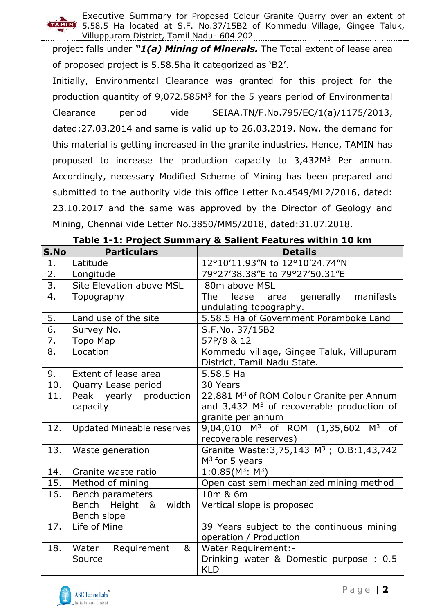

project falls under *"1(a) Mining of Minerals.* The Total extent of lease area of proposed project is 5.58.5ha it categorized as 'B2'.

Initially, Environmental Clearance was granted for this project for the production quantity of 9,072.585M<sup>3</sup> for the 5 years period of Environmental Clearance period vide SEIAA.TN/F.No.795/EC/1(a)/1175/2013, dated:27.03.2014 and same is valid up to 26.03.2019. Now, the demand for this material is getting increased in the granite industries. Hence, TAMIN has proposed to increase the production capacity to 3,432M<sup>3</sup> Per annum. Accordingly, necessary Modified Scheme of Mining has been prepared and submitted to the authority vide this office Letter No.4549/ML2/2016, dated: 23.10.2017 and the same was approved by the Director of Geology and Mining, Chennai vide Letter No.3850/MM5/2018, dated:31.07.2018.

| S.No             | <b>Particulars</b>                | <b>Details</b>                                             |  |  |  |
|------------------|-----------------------------------|------------------------------------------------------------|--|--|--|
| 1.               | Latitude                          | 12°10'11.93"N to 12°10'24.74"N                             |  |  |  |
| 2.               | Longitude                         | 79°27'38.38"E to 79°27'50.31"E                             |  |  |  |
| $\overline{3}$ . | Site Elevation above MSL          | 80m above MSL                                              |  |  |  |
| 4.               | Topography                        | lease area generally manifests<br>The                      |  |  |  |
|                  |                                   | undulating topography.                                     |  |  |  |
| 5.               | Land use of the site              | 5.58.5 Ha of Government Poramboke Land                     |  |  |  |
| $\overline{6}$ . | Survey No.                        | S.F.No. 37/15B2                                            |  |  |  |
| 7.               | Topo Map                          | 57P/8 & 12                                                 |  |  |  |
| 8.               | Location                          | Kommedu village, Gingee Taluk, Villupuram                  |  |  |  |
|                  |                                   | District, Tamil Nadu State.                                |  |  |  |
| 9.               | Extent of lease area<br>5.58.5 Ha |                                                            |  |  |  |
| 10.              | 30 Years<br>Quarry Lease period   |                                                            |  |  |  |
| 11.              | Peak yearly production            | 22,881 M <sup>3</sup> of ROM Colour Granite per Annum      |  |  |  |
|                  | capacity                          | and 3,432 M <sup>3</sup> of recoverable production of      |  |  |  |
|                  |                                   | granite per annum                                          |  |  |  |
| 12.              | <b>Updated Mineable reserves</b>  | 9,04,010 M <sup>3</sup> of ROM (1,35,602 M <sup>3</sup> of |  |  |  |
|                  |                                   | recoverable reserves)                                      |  |  |  |
| 13.              | Waste generation                  | Granite Waste: 3,75,143 M <sup>3</sup> ; 0.B: 1,43,742     |  |  |  |
|                  |                                   | $M3$ for 5 years                                           |  |  |  |
| 14.              | Granite waste ratio               | 1:0.85( $M^3$ : $M^3$ )                                    |  |  |  |
| 15.              | Method of mining                  | Open cast semi mechanized mining method                    |  |  |  |
| 16.              | Bench parameters                  | 10m & 6m                                                   |  |  |  |
|                  |                                   | Bench Height & width<br>Vertical slope is proposed         |  |  |  |
|                  | Bench slope                       |                                                            |  |  |  |
| 17.              | Life of Mine                      | 39 Years subject to the continuous mining                  |  |  |  |
|                  |                                   | operation / Production                                     |  |  |  |
| 18.              | Requirement<br>Water<br>&         | Water Requirement:-                                        |  |  |  |
|                  | Source                            | Drinking water & Domestic purpose : 0.5<br><b>KLD</b>      |  |  |  |
|                  |                                   |                                                            |  |  |  |

|--|

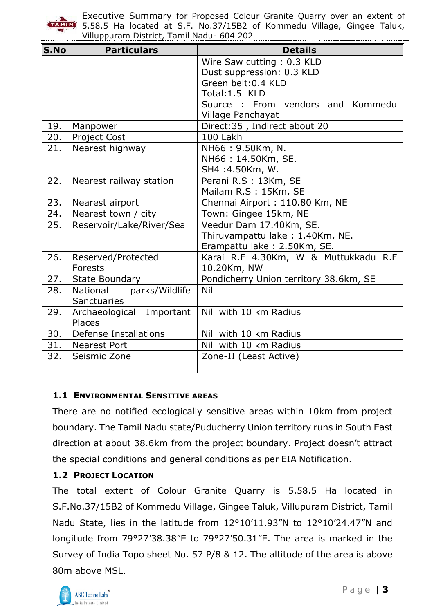

| S.No | <b>Particulars</b>           | <b>Details</b>                         |  |  |  |  |
|------|------------------------------|----------------------------------------|--|--|--|--|
|      |                              | Wire Saw cutting: 0.3 KLD              |  |  |  |  |
|      |                              | Dust suppression: 0.3 KLD              |  |  |  |  |
|      |                              | Green belt: 0.4 KLD                    |  |  |  |  |
|      |                              | Total: 1.5 KLD                         |  |  |  |  |
|      |                              | Source: From vendors and Kommedu       |  |  |  |  |
|      |                              | Village Panchayat                      |  |  |  |  |
| 19.  | Manpower                     | Direct:35, Indirect about 20           |  |  |  |  |
| 20.  | <b>Project Cost</b>          | 100 Lakh                               |  |  |  |  |
| 21.  | Nearest highway              | NH66: 9.50Km, N.                       |  |  |  |  |
|      |                              | NH66: 14.50Km, SE.                     |  |  |  |  |
|      |                              | SH4 : 4.50Km, W.                       |  |  |  |  |
| 22.  | Nearest railway station      | Perani R.S: 13Km, SE                   |  |  |  |  |
|      |                              | Mailam R.S: 15Km, SE                   |  |  |  |  |
| 23.  | Nearest airport              | Chennai Airport: 110.80 Km, NE         |  |  |  |  |
| 24.  | Nearest town / city          | Town: Gingee 15km, NE                  |  |  |  |  |
| 25.  | Reservoir/Lake/River/Sea     | Veedur Dam 17.40Km, SE.                |  |  |  |  |
|      |                              | Thiruvampattu lake: 1.40Km, NE.        |  |  |  |  |
|      |                              | Erampattu lake: 2.50Km, SE.            |  |  |  |  |
| 26.  | Reserved/Protected           | Karai R.F 4.30Km, W & Muttukkadu R.F   |  |  |  |  |
|      | Forests                      | 10.20Km, NW                            |  |  |  |  |
| 27.  | <b>State Boundary</b>        | Pondicherry Union territory 38.6km, SE |  |  |  |  |
| 28.  | parks/Wildlife<br>National   | Nil                                    |  |  |  |  |
|      | <b>Sanctuaries</b>           |                                        |  |  |  |  |
| 29.  | Important<br>Archaeological  | Nil with 10 km Radius                  |  |  |  |  |
|      | Places                       |                                        |  |  |  |  |
| 30.  | <b>Defense Installations</b> | Nil with 10 km Radius                  |  |  |  |  |
| 31.  | Nearest Port                 | Nil with 10 km Radius                  |  |  |  |  |
| 32.  | Seismic Zone                 | Zone-II (Least Active)                 |  |  |  |  |
|      |                              |                                        |  |  |  |  |

### **1.1 ENVIRONMENTAL SENSITIVE AREAS**

There are no notified ecologically sensitive areas within 10km from project boundary. The Tamil Nadu state/Puducherry Union territory runs in South East direction at about 38.6km from the project boundary. Project doesn't attract the special conditions and general conditions as per EIA Notification.

## **1.2 PROJECT LOCATION**

The total extent of Colour Granite Quarry is 5.58.5 Ha located in S.F.No.37/15B2 of Kommedu Village, Gingee Taluk, Villupuram District, Tamil Nadu State, lies in the latitude from 12°10'11.93"N to 12°10'24.47"N and longitude from 79°27'38.38"E to 79°27'50.31"E. The area is marked in the Survey of India Topo sheet No. 57 P/8 & 12. The altitude of the area is above 80m above MSL.

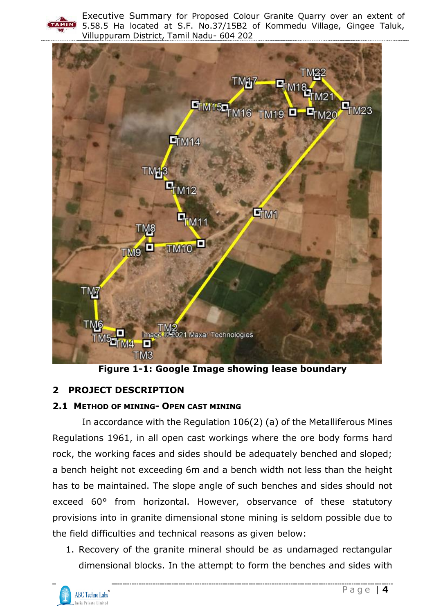



**Figure 1-1: Google Image showing lease boundary**

## **2 PROJECT DESCRIPTION**

### **2.1 METHOD OF MINING- OPEN CAST MINING**

In accordance with the Regulation 106(2) (a) of the Metalliferous Mines Regulations 1961, in all open cast workings where the ore body forms hard rock, the working faces and sides should be adequately benched and sloped; a bench height not exceeding 6m and a bench width not less than the height has to be maintained. The slope angle of such benches and sides should not exceed 60° from horizontal. However, observance of these statutory provisions into in granite dimensional stone mining is seldom possible due to the field difficulties and technical reasons as given below:

1. Recovery of the granite mineral should be as undamaged rectangular dimensional blocks. In the attempt to form the benches and sides with

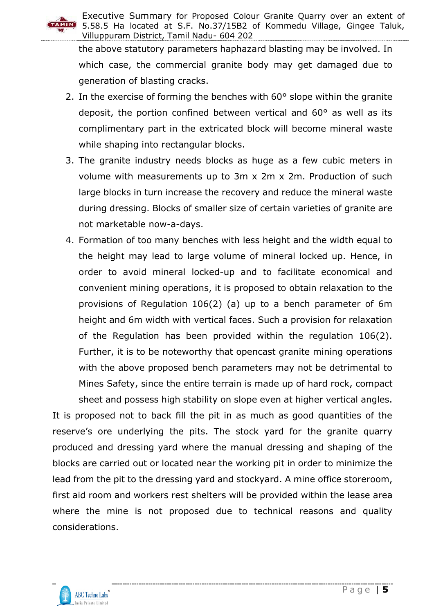

the above statutory parameters haphazard blasting may be involved. In which case, the commercial granite body may get damaged due to generation of blasting cracks.

- 2. In the exercise of forming the benches with 60° slope within the granite deposit, the portion confined between vertical and 60° as well as its complimentary part in the extricated block will become mineral waste while shaping into rectangular blocks.
- 3. The granite industry needs blocks as huge as a few cubic meters in volume with measurements up to 3m x 2m x 2m. Production of such large blocks in turn increase the recovery and reduce the mineral waste during dressing. Blocks of smaller size of certain varieties of granite are not marketable now-a-days.
- 4. Formation of too many benches with less height and the width equal to the height may lead to large volume of mineral locked up. Hence, in order to avoid mineral locked-up and to facilitate economical and convenient mining operations, it is proposed to obtain relaxation to the provisions of Regulation 106(2) (a) up to a bench parameter of 6m height and 6m width with vertical faces. Such a provision for relaxation of the Regulation has been provided within the regulation 106(2). Further, it is to be noteworthy that opencast granite mining operations with the above proposed bench parameters may not be detrimental to Mines Safety, since the entire terrain is made up of hard rock, compact

sheet and possess high stability on slope even at higher vertical angles. It is proposed not to back fill the pit in as much as good quantities of the reserve's ore underlying the pits. The stock yard for the granite quarry produced and dressing yard where the manual dressing and shaping of the blocks are carried out or located near the working pit in order to minimize the lead from the pit to the dressing yard and stockyard. A mine office storeroom, first aid room and workers rest shelters will be provided within the lease area where the mine is not proposed due to technical reasons and quality considerations.

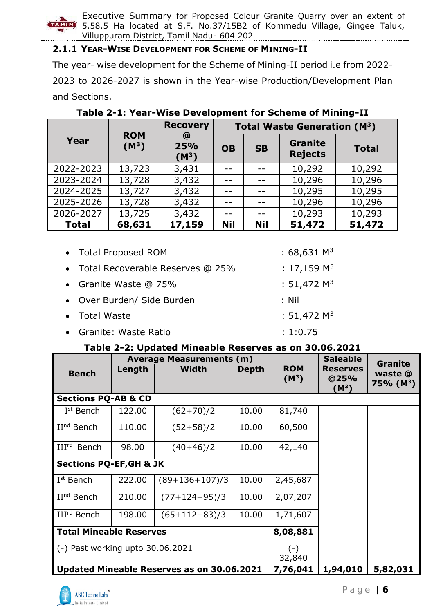

## **2.1.1 YEAR-WISE DEVELOPMENT FOR SCHEME OF MINING-II**

The year- wise development for the Scheme of Mining-II period i.e from 2022- 2023 to 2026-2027 is shown in the Year-wise Production/Development Plan and Sections.

|              |                       | <b>Recovery</b>     | Total Waste Generation $(M^3)$ |            |                                  |              |
|--------------|-----------------------|---------------------|--------------------------------|------------|----------------------------------|--------------|
| Year         | <b>ROM</b><br>$(M^3)$ | @<br>25%<br>$(M^3)$ | <b>OB</b>                      | <b>SB</b>  | <b>Granite</b><br><b>Rejects</b> | <b>Total</b> |
| 2022-2023    | 13,723                | 3,431               |                                |            | 10,292                           | 10,292       |
| 2023-2024    | 13,728                | 3,432               |                                |            | 10,296                           | 10,296       |
| 2024-2025    | 13,727                | 3,432               |                                |            | 10,295                           | 10,295       |
| 2025-2026    | 13,728                | 3,432               |                                |            | 10,296                           | 10,296       |
| 2026-2027    | 13,725                | 3,432               |                                |            | 10,293                           | 10,293       |
| <b>Total</b> | 68,631                | 17,159              | <b>Nil</b>                     | <b>Nil</b> | 51,472                           | 51,472       |

**Table 2-1: Year-Wise Development for Scheme of Mining-II**

| • Total Proposed ROM               | : $68,631$ M <sup>3</sup> |
|------------------------------------|---------------------------|
| • Total Recoverable Reserves @ 25% | : $17,159$ M <sup>3</sup> |
| • Granite Waste @ 75%              | : $51,472$ M <sup>3</sup> |
| • Over Burden/ Side Burden         | :Nil                      |
| • Total Waste                      | $: 51,472 \text{ M}^3$    |
| • Granite: Waste Ratio             | : 1:0.75                  |

#### **Table 2-2: Updated Mineable Reserves as on 30.06.2021**

|                                            | <b>Average Measurements (m)</b> |                  |          |                       | <b>Saleable</b>                    | <b>Granite</b>                   |
|--------------------------------------------|---------------------------------|------------------|----------|-----------------------|------------------------------------|----------------------------------|
| <b>Bench</b>                               | Length                          | Width            | Depth    | <b>ROM</b><br>$(M^3)$ | <b>Reserves</b><br>@25%<br>$(M^3)$ | waste @<br>75% (M <sup>3</sup> ) |
| <b>Sections PQ-AB &amp; CD</b>             |                                 |                  |          |                       |                                    |                                  |
| I <sup>st</sup> Bench                      | 122.00                          | $(62+70)/2$      | 10.00    | 81,740                |                                    |                                  |
| II <sup>nd</sup> Bench                     | 110.00                          | $(52+58)/2$      | 10.00    | 60,500                |                                    |                                  |
| III <sup>rd</sup> Bench                    | 98.00                           | $(40+46)/2$      | 10.00    | 42,140                |                                    |                                  |
| <b>Sections PQ-EF, GH &amp; JK</b>         |                                 |                  |          |                       |                                    |                                  |
| I <sup>st</sup> Bench                      | 222.00                          | $(89+136+107)/3$ | 10.00    | 2,45,687              |                                    |                                  |
| II <sup>nd</sup> Bench                     | 210.00                          | $(77+124+95)/3$  | 10.00    | 2,07,207              |                                    |                                  |
| III <sup>rd</sup> Bench                    | 198.00                          | $(65+112+83)/3$  | 10.00    | 1,71,607              |                                    |                                  |
| <b>Total Mineable Reserves</b>             |                                 | 8,08,881         |          |                       |                                    |                                  |
| (-) Past working upto 30.06.2021           |                                 |                  |          | $(-)$<br>32,840       |                                    |                                  |
| Updated Mineable Reserves as on 30.06.2021 |                                 | 7,76,041         | 1,94,010 | 5,82,031              |                                    |                                  |

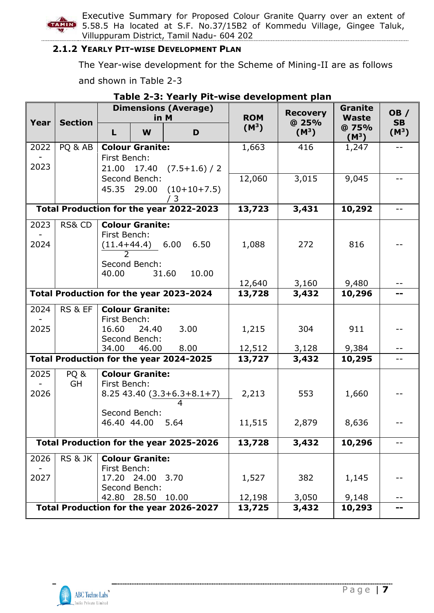

## **2.1.2 YEARLY PIT-WISE DEVELOPMENT PLAN**

The Year-wise development for the Scheme of Mining-II are as follows

and shown in Table 2-3

| rable 2-5. Tearly Pit-Wise development plan |                |                                     |                        |                                                  |            |                 |                      |           |  |
|---------------------------------------------|----------------|-------------------------------------|------------------------|--------------------------------------------------|------------|-----------------|----------------------|-----------|--|
|                                             |                | <b>Dimensions (Average)</b><br>in M |                        |                                                  | <b>ROM</b> | <b>Recovery</b> | <b>Granite</b>       | OB /      |  |
| Year                                        | <b>Section</b> |                                     |                        |                                                  | $(M^3)$    | @ 25%           | <b>Waste</b><br>@75% | <b>SB</b> |  |
|                                             |                | L                                   | W                      | D                                                |            | $(M^3)$         | $(M^3)$              | $(M^3)$   |  |
| 2022                                        | PQ & AB        |                                     | <b>Colour Granite:</b> |                                                  | 1,663      | 416             | 1,247                | $ -$      |  |
|                                             |                | First Bench:                        |                        |                                                  |            |                 |                      |           |  |
| 2023                                        |                | 21.00                               | 17.40                  | $(7.5+1.6) / 2$                                  |            |                 |                      |           |  |
|                                             |                |                                     | Second Bench:          |                                                  | 12,060     | 3,015           | 9,045                |           |  |
|                                             |                | 45.35 29.00                         |                        | $(10+10+7.5)$                                    |            |                 |                      |           |  |
|                                             |                |                                     |                        | 3                                                |            |                 |                      |           |  |
|                                             |                |                                     |                        | Total Production for the year 2022-2023          | 13,723     | 3,431           | 10,292               |           |  |
| 2023                                        | RS& CD         |                                     | <b>Colour Granite:</b> |                                                  |            |                 |                      |           |  |
|                                             |                | First Bench:                        |                        |                                                  |            |                 |                      |           |  |
| 2024                                        |                |                                     | $(11.4+44.4)$ 6.00     | 6.50                                             | 1,088      | 272             | 816                  |           |  |
|                                             |                |                                     | Second Bench:          |                                                  |            |                 |                      |           |  |
|                                             |                | 40.00                               |                        | 10.00<br>31.60                                   |            |                 |                      |           |  |
|                                             |                |                                     |                        |                                                  | 12,640     | 3,160           | 9,480                |           |  |
|                                             |                |                                     |                        | Total Production for the year 2023-2024          | 13,728     | 3,432           | 10,296               |           |  |
| 2024                                        | RS & EF        |                                     | <b>Colour Granite:</b> |                                                  |            |                 |                      |           |  |
|                                             |                | First Bench:                        |                        |                                                  |            |                 |                      |           |  |
| 2025                                        |                | 16.60                               | 24.40                  | 3.00                                             | 1,215      | 304             | 911                  |           |  |
|                                             |                |                                     | Second Bench:          |                                                  |            |                 |                      |           |  |
|                                             |                | 34.00                               | 46.00                  | 8.00                                             | 12,512     | 3,128           | 9,384                |           |  |
|                                             |                |                                     |                        | Total Production for the year 2024-2025          | 13,727     | 3,432           | 10,295               |           |  |
| 2025                                        | PQ&            |                                     | <b>Colour Granite:</b> |                                                  |            |                 |                      |           |  |
|                                             | GH             | First Bench:                        |                        |                                                  |            |                 |                      |           |  |
| 2026                                        |                |                                     |                        | $8.25$ 43.40 $(3.3+6.3+8.1+7)$<br>4              | 2,213      | 553             | 1,660                |           |  |
|                                             |                |                                     | Second Bench:          |                                                  |            |                 |                      |           |  |
|                                             |                |                                     | 46.40 44.00            | 5.64                                             | 11,515     | 2,879           | 8,636                |           |  |
|                                             |                |                                     |                        |                                                  |            |                 |                      |           |  |
|                                             |                |                                     |                        | Total Production for the year 2025-2026          | 13,728     | 3,432           | 10,296               |           |  |
| 2026                                        | RS & JK        |                                     | <b>Colour Granite:</b> |                                                  |            |                 |                      |           |  |
|                                             |                | First Bench:                        |                        |                                                  |            |                 |                      |           |  |
| 2027                                        |                | 17.20 24.00                         |                        | 3.70                                             | 1,527      | 382             | 1,145                |           |  |
|                                             |                |                                     | Second Bench:          |                                                  |            |                 |                      |           |  |
|                                             |                | 42.80 28.50                         |                        | 10.00<br>Total Production for the year 2026-2027 | 12,198     | 3,050<br>3,432  | 9,148<br>10,293      | --        |  |
|                                             |                |                                     |                        |                                                  | 13,725     |                 |                      |           |  |

## **Table 2-3: Yearly Pit-wise development plan**

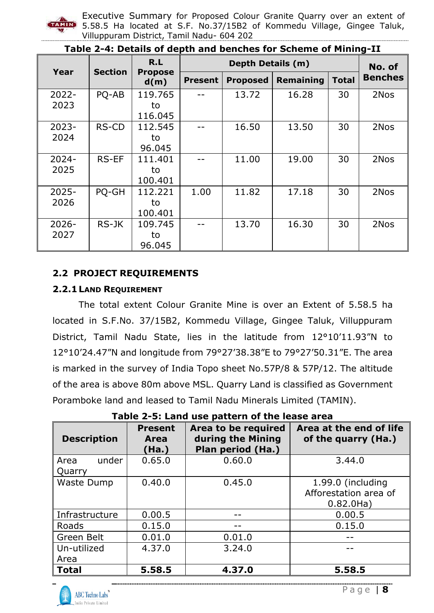

|          |                |                        |                |                   | rable 2-4: Details of depth and benches for Scheme of Mining-II |              |                |
|----------|----------------|------------------------|----------------|-------------------|-----------------------------------------------------------------|--------------|----------------|
|          |                | R.L                    |                | Depth Details (m) |                                                                 |              |                |
| Year     | <b>Section</b> | <b>Propose</b><br>d(m) | <b>Present</b> | <b>Proposed</b>   | Remaining                                                       | <b>Total</b> | <b>Benches</b> |
| 2022-    | PQ-AB          | 119.765                |                | 13.72             | 16.28                                                           | 30           | 2Nos           |
| 2023     |                | to                     |                |                   |                                                                 |              |                |
|          |                | 116.045                |                |                   |                                                                 |              |                |
| $2023 -$ | RS-CD          | 112.545                |                | 16.50             | 13.50                                                           | 30           | 2Nos           |
| 2024     |                | to                     |                |                   |                                                                 |              |                |
|          |                | 96.045                 |                |                   |                                                                 |              |                |
| $2024 -$ | RS-EF          | 111.401                |                | 11.00             | 19.00                                                           | 30           | 2Nos           |
| 2025     |                | to                     |                |                   |                                                                 |              |                |
|          |                | 100.401                |                |                   |                                                                 |              |                |
| $2025 -$ | PQ-GH          | 112.221                | 1.00           | 11.82             | 17.18                                                           | 30           | 2Nos           |
| 2026     |                | to                     |                |                   |                                                                 |              |                |
|          |                | 100.401                |                |                   |                                                                 |              |                |
| $2026 -$ | RS-JK          | 109.745                |                | 13.70             | 16.30                                                           | 30           | 2Nos           |
| 2027     |                | to                     |                |                   |                                                                 |              |                |
|          |                | 96.045                 |                |                   |                                                                 |              |                |

## **Table 2-4: Details of depth and benches for Scheme of Mining-II**

## **2.2 PROJECT REQUIREMENTS**

### **2.2.1 LAND REQUIREMENT**

The total extent Colour Granite Mine is over an Extent of 5.58.5 ha located in S.F.No. 37/15B2, Kommedu Village, Gingee Taluk, Villuppuram District, Tamil Nadu State, lies in the latitude from 12°10'11.93"N to 12°10'24.47"N and longitude from 79°27'38.38"E to 79°27'50.31"E. The area is marked in the survey of India Topo sheet No.57P/8 & 57P/12. The altitude of the area is above 80m above MSL. Quarry Land is classified as Government Poramboke land and leased to Tamil Nadu Minerals Limited (TAMIN).

| <b>Description</b>      | <b>Present</b><br><b>Area</b><br>(Ha.) | Area to be required<br>during the Mining<br>Plan period (Ha.) | Area at the end of life<br>of the quarry (Ha.)             |
|-------------------------|----------------------------------------|---------------------------------------------------------------|------------------------------------------------------------|
| under<br>Area<br>Quarry | 0.65.0                                 | 0.60.0                                                        | 3.44.0                                                     |
| Waste Dump              | 0.40.0                                 | 0.45.0                                                        | 1.99.0 (including<br>Afforestation area of<br>$0.82.0$ Ha) |
| Infrastructure          | 0.00.5                                 |                                                               | 0.00.5                                                     |
| Roads                   | 0.15.0                                 |                                                               | 0.15.0                                                     |
| Green Belt              | 0.01.0                                 | 0.01.0                                                        |                                                            |
| Un-utilized<br>Area     | 4.37.0                                 | 3.24.0                                                        |                                                            |
| <b>Total</b>            | 5.58.5                                 | 4.37.0                                                        | 5.58.5                                                     |

**Table 2-5: Land use pattern of the lease area**

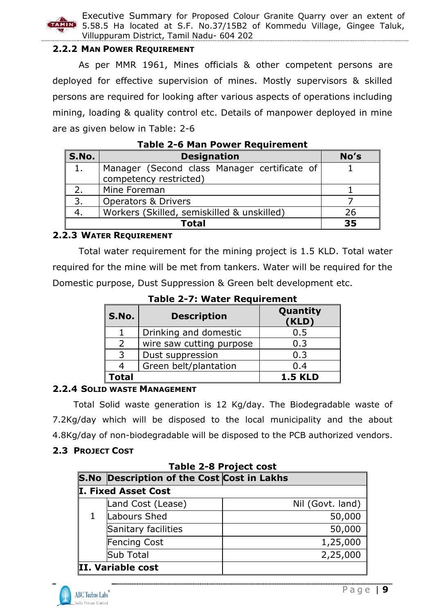

## **2.2.2 MAN POWER REQUIREMENT**

As per MMR 1961, Mines officials & other competent persons are deployed for effective supervision of mines. Mostly supervisors & skilled persons are required for looking after various aspects of operations including mining, loading & quality control etc. Details of manpower deployed in mine are as given below in Table: 2-6

|       | Table 2-0 Mail Power Reguliement                                       |      |  |  |  |
|-------|------------------------------------------------------------------------|------|--|--|--|
| S.No. | <b>Designation</b>                                                     | No's |  |  |  |
| 1.    | Manager (Second class Manager certificate of<br>competency restricted) |      |  |  |  |
| 2.    | Mine Foreman                                                           |      |  |  |  |
| 3.    | <b>Operators &amp; Drivers</b>                                         |      |  |  |  |
| 4.    | Workers (Skilled, semiskilled & unskilled)                             | 26   |  |  |  |
|       | 35                                                                     |      |  |  |  |

### **Table 2-6 Man Power Requirement**

#### **2.2.3 WATER REQUIREMENT**

Total water requirement for the mining project is 1.5 KLD. Total water required for the mine will be met from tankers. Water will be required for the Domestic purpose, Dust Suppression & Green belt development etc.

| S.No.                 | <b>Description</b>       | Quantity<br>(KLD) |  |  |  |
|-----------------------|--------------------------|-------------------|--|--|--|
|                       | Drinking and domestic    | 0.5               |  |  |  |
|                       | wire saw cutting purpose | 0.3               |  |  |  |
| 3                     | Dust suppression         | 0.3               |  |  |  |
| Green belt/plantation |                          | 0.4               |  |  |  |
| <b>Total</b>          |                          | <b>1.5 KLD</b>    |  |  |  |

**Table 2-7: Water Requirement** 

#### **2.2.4 SOLID WASTE MANAGEMENT**

Total Solid waste generation is 12 Kg/day. The Biodegradable waste of 7.2Kg/day which will be disposed to the local municipality and the about 4.8Kg/day of non-biodegradable will be disposed to the PCB authorized vendors.

### **2.3 PROJECT COST**

| <b>Table 2-8 Project cost</b>              |                     |                  |  |  |
|--------------------------------------------|---------------------|------------------|--|--|
| S.No Description of the Cost Cost in Lakhs |                     |                  |  |  |
| I. Fixed Asset Cost                        |                     |                  |  |  |
|                                            | Land Cost (Lease)   | Nil (Govt. land) |  |  |
|                                            | Labours Shed        | 50,000           |  |  |
|                                            | Sanitary facilities | 50,000           |  |  |
|                                            | <b>Fencing Cost</b> | 1,25,000         |  |  |
|                                            | Sub Total           | 2,25,000         |  |  |
| II. Variable cost                          |                     |                  |  |  |

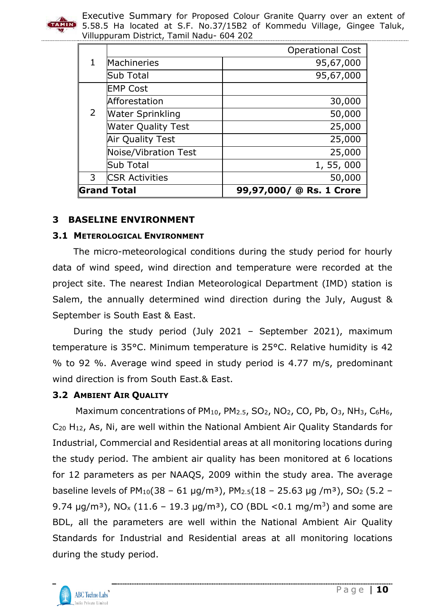

|                    |                           | <b>Operational Cost</b>  |
|--------------------|---------------------------|--------------------------|
| $\mathbf 1$        | Machineries               | 95,67,000                |
|                    | Sub Total                 | 95,67,000                |
| $\overline{2}$     | <b>EMP Cost</b>           |                          |
|                    | Afforestation             | 30,000                   |
|                    | <b>Water Sprinkling</b>   | 50,000                   |
|                    | <b>Water Quality Test</b> | 25,000                   |
|                    | Air Quality Test          | 25,000                   |
|                    | Noise/Vibration Test      | 25,000                   |
|                    | Sub Total                 | 1, 55, 000               |
| 3                  | <b>CSR Activities</b>     | 50,000                   |
| <b>Grand Total</b> |                           | 99,97,000/ @ Rs. 1 Crore |

## **3 BASELINE ENVIRONMENT**

### **3.1 METEROLOGICAL ENVIRONMENT**

The micro-meteorological conditions during the study period for hourly data of wind speed, wind direction and temperature were recorded at the project site. The nearest Indian Meteorological Department (IMD) station is Salem, the annually determined wind direction during the July, August & September is South East & East.

During the study period (July 2021 – September 2021), maximum temperature is 35°C. Minimum temperature is 25°C. Relative humidity is 42 % to 92 %. Average wind speed in study period is 4.77 m/s, predominant wind direction is from South East.& East.

### **3.2 AMBIENT AIR QUALITY**

Maximum concentrations of  $PM_{10}$ ,  $PM_{2.5}$ ,  $SO_2$ ,  $NO_2$ ,  $CO$ ,  $Pb$ ,  $O_3$ ,  $NH_3$ ,  $C_6H_6$ ,  $C_{20}$  H<sub>12</sub>, As, Ni, are well within the National Ambient Air Quality Standards for Industrial, Commercial and Residential areas at all monitoring locations during the study period. The ambient air quality has been monitored at 6 locations for 12 parameters as per NAAQS, 2009 within the study area. The average baseline levels of  $PM_{10}(38 - 61 \mu q/m^3)$ ,  $PM_{2.5}(18 - 25.63 \mu q/m^3)$ , SO<sub>2</sub> (5.2 – 9.74  $\mu$ g/m<sup>3</sup>), NO<sub>x</sub> (11.6 – 19.3  $\mu$ g/m<sup>3</sup>), CO (BDL < 0.1 mg/m<sup>3</sup>) and some are BDL, all the parameters are well within the National Ambient Air Quality Standards for Industrial and Residential areas at all monitoring locations during the study period.

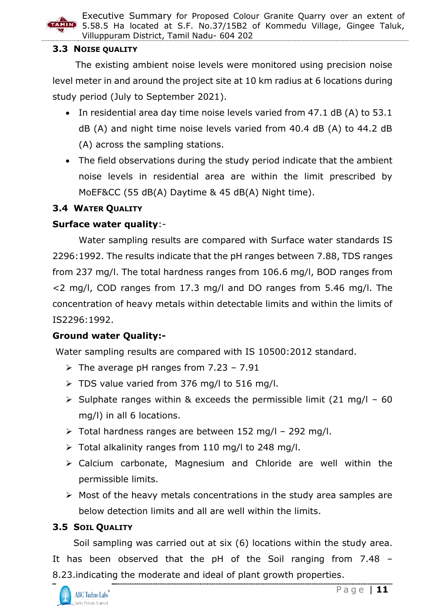

## **3.3 NOISE QUALITY**

The existing ambient noise levels were monitored using precision noise level meter in and around the project site at 10 km radius at 6 locations during study period (July to September 2021).

- In residential area day time noise levels varied from 47.1 dB (A) to 53.1 dB (A) and night time noise levels varied from 40.4 dB (A) to 44.2 dB (A) across the sampling stations.
- The field observations during the study period indicate that the ambient noise levels in residential area are within the limit prescribed by MoEF&CC (55 dB(A) Daytime & 45 dB(A) Night time).

## **3.4 WATER QUALITY**

## **Surface water quality**:-

Water sampling results are compared with Surface water standards IS 2296:1992. The results indicate that the pH ranges between 7.88, TDS ranges from 237 mg/l. The total hardness ranges from 106.6 mg/l, BOD ranges from <2 mg/l, COD ranges from 17.3 mg/l and DO ranges from 5.46 mg/l. The concentration of heavy metals within detectable limits and within the limits of IS2296:1992.

## **Ground water Quality:-**

Water sampling results are compared with IS 10500:2012 standard.

- $\triangleright$  The average pH ranges from 7.23 7.91
- $\triangleright$  TDS value varied from 376 mg/l to 516 mg/l.
- $\triangleright$  Sulphate ranges within & exceeds the permissible limit (21 mg/l 60 mg/l) in all 6 locations.
- $\triangleright$  Total hardness ranges are between 152 mg/l 292 mg/l.
- $\triangleright$  Total alkalinity ranges from 110 mg/l to 248 mg/l.
- Calcium carbonate, Magnesium and Chloride are well within the permissible limits.
- $\triangleright$  Most of the heavy metals concentrations in the study area samples are below detection limits and all are well within the limits.

## **3.5 SOIL QUALITY**

Soil sampling was carried out at six (6) locations within the study area. It has been observed that the pH of the Soil ranging from 7.48 – 8.23.indicating the moderate and ideal of plant growth properties.

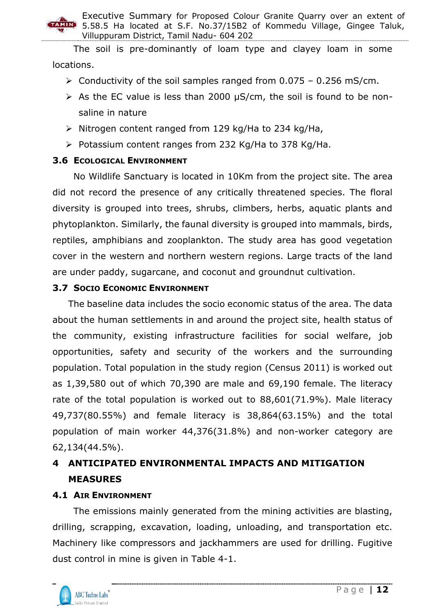The soil is pre-dominantly of loam type and clayey loam in some locations.

- $\geq$  Conductivity of the soil samples ranged from 0.075 0.256 mS/cm.
- $\triangleright$  As the EC value is less than 2000  $\mu$ S/cm, the soil is found to be nonsaline in nature
- $\triangleright$  Nitrogen content ranged from 129 kg/Ha to 234 kg/Ha,
- $\triangleright$  Potassium content ranges from 232 Kg/Ha to 378 Kg/Ha.

## **3.6 ECOLOGICAL ENVIRONMENT**

No Wildlife Sanctuary is located in 10Km from the project site. The area did not record the presence of any critically threatened species. The floral diversity is grouped into trees, shrubs, climbers, herbs, aquatic plants and phytoplankton. Similarly, the faunal diversity is grouped into mammals, birds, reptiles, amphibians and zooplankton. The study area has good vegetation cover in the western and northern western regions. Large tracts of the land are under paddy, sugarcane, and coconut and groundnut cultivation.

## **3.7 SOCIO ECONOMIC ENVIRONMENT**

The baseline data includes the socio economic status of the area. The data about the human settlements in and around the project site, health status of the community, existing infrastructure facilities for social welfare, job opportunities, safety and security of the workers and the surrounding population. Total population in the study region (Census 2011) is worked out as 1,39,580 out of which 70,390 are male and 69,190 female. The literacy rate of the total population is worked out to 88,601(71.9%). Male literacy 49,737(80.55%) and female literacy is 38,864(63.15%) and the total population of main worker 44,376(31.8%) and non-worker category are 62,134(44.5%).

## **4 ANTICIPATED ENVIRONMENTAL IMPACTS AND MITIGATION MEASURES**

## **4.1 AIR ENVIRONMENT**

The emissions mainly generated from the mining activities are blasting, drilling, scrapping, excavation, loading, unloading, and transportation etc. Machinery like compressors and jackhammers are used for drilling. Fugitive dust control in mine is given in Table 4-1.

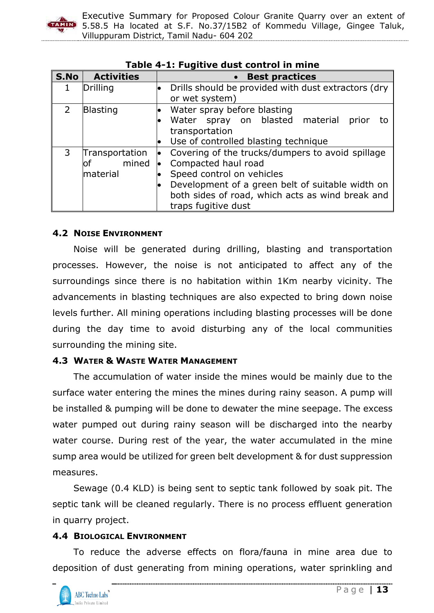

| S.No          | <b>Activities</b>                         | <b>Best practices</b><br>$\bullet$                                                                                                                                                                                                  |  |
|---------------|-------------------------------------------|-------------------------------------------------------------------------------------------------------------------------------------------------------------------------------------------------------------------------------------|--|
|               | Drilling                                  | Drills should be provided with dust extractors (dry<br>or wet system)                                                                                                                                                               |  |
| $\mathcal{P}$ | <b>Blasting</b>                           | Water spray before blasting<br>$\bullet$<br>Water spray on blasted material<br>prior<br>transportation<br>Use of controlled blasting technique<br>lo                                                                                |  |
| 3             | Transportation<br>mined<br>оf<br>material | Covering of the trucks/dumpers to avoid spillage<br>Compacted haul road<br>Speed control on vehicles<br>Development of a green belt of suitable width on<br>both sides of road, which acts as wind break and<br>traps fugitive dust |  |

|  | Table 4-1: Fugitive dust control in mine |
|--|------------------------------------------|
|--|------------------------------------------|

### **4.2 NOISE ENVIRONMENT**

Noise will be generated during drilling, blasting and transportation processes. However, the noise is not anticipated to affect any of the surroundings since there is no habitation within 1Km nearby vicinity. The advancements in blasting techniques are also expected to bring down noise levels further. All mining operations including blasting processes will be done during the day time to avoid disturbing any of the local communities surrounding the mining site.

### **4.3 WATER & WASTE WATER MANAGEMENT**

The accumulation of water inside the mines would be mainly due to the surface water entering the mines the mines during rainy season. A pump will be installed & pumping will be done to dewater the mine seepage. The excess water pumped out during rainy season will be discharged into the nearby water course. During rest of the year, the water accumulated in the mine sump area would be utilized for green belt development & for dust suppression measures.

Sewage (0.4 KLD) is being sent to septic tank followed by soak pit. The septic tank will be cleaned regularly. There is no process effluent generation in quarry project.

### **4.4 BIOLOGICAL ENVIRONMENT**

To reduce the adverse effects on flora/fauna in mine area due to deposition of dust generating from mining operations, water sprinkling and

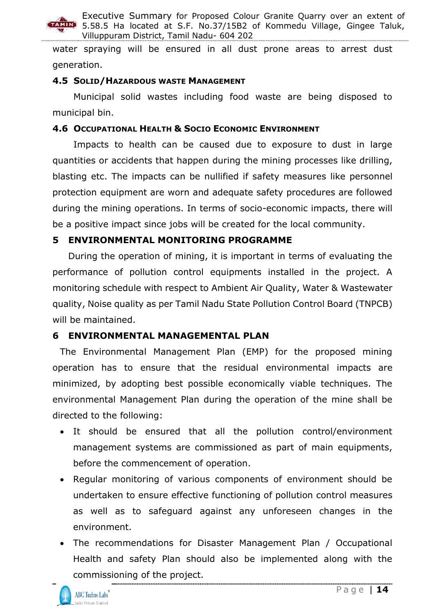

water spraying will be ensured in all dust prone areas to arrest dust generation.

## **4.5 SOLID/HAZARDOUS WASTE MANAGEMENT**

Municipal solid wastes including food waste are being disposed to municipal bin.

## **4.6 OCCUPATIONAL HEALTH & SOCIO ECONOMIC ENVIRONMENT**

Impacts to health can be caused due to exposure to dust in large quantities or accidents that happen during the mining processes like drilling, blasting etc. The impacts can be nullified if safety measures like personnel protection equipment are worn and adequate safety procedures are followed during the mining operations. In terms of socio-economic impacts, there will be a positive impact since jobs will be created for the local community.

## **5 ENVIRONMENTAL MONITORING PROGRAMME**

During the operation of mining, it is important in terms of evaluating the performance of pollution control equipments installed in the project. A monitoring schedule with respect to Ambient Air Quality, Water & Wastewater quality, Noise quality as per Tamil Nadu State Pollution Control Board (TNPCB) will be maintained.

## **6 ENVIRONMENTAL MANAGEMENTAL PLAN**

The Environmental Management Plan (EMP) for the proposed mining operation has to ensure that the residual environmental impacts are minimized, by adopting best possible economically viable techniques. The environmental Management Plan during the operation of the mine shall be directed to the following:

- It should be ensured that all the pollution control/environment management systems are commissioned as part of main equipments, before the commencement of operation.
- Regular monitoring of various components of environment should be undertaken to ensure effective functioning of pollution control measures as well as to safeguard against any unforeseen changes in the environment.
- The recommendations for Disaster Management Plan / Occupational Health and safety Plan should also be implemented along with the commissioning of the project.

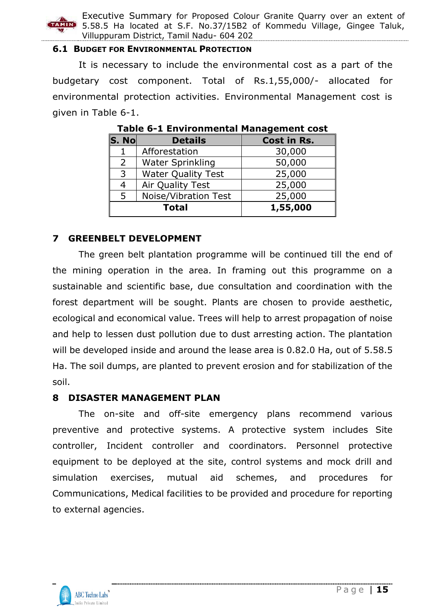

#### **6.1 BUDGET FOR ENVIRONMENTAL PROTECTION**

It is necessary to include the environmental cost as a part of the budgetary cost component. Total of Rs.1,55,000/- allocated for environmental protection activities. Environmental Management cost is given in Table 6-1.

| Table o + Environmental rianagement cost |                           |             |  |  |
|------------------------------------------|---------------------------|-------------|--|--|
| S. No                                    | <b>Details</b>            | Cost in Rs. |  |  |
|                                          | Afforestation             | 30,000      |  |  |
| $\overline{2}$                           | Water Sprinkling          | 50,000      |  |  |
| 3                                        | <b>Water Quality Test</b> | 25,000      |  |  |
| 4                                        | Air Quality Test          | 25,000      |  |  |
| 5                                        | Noise/Vibration Test      | 25,000      |  |  |
| <b>Total</b>                             |                           | 1,55,000    |  |  |

**Table 6-1 Environmental Management cost**

### **7 GREENBELT DEVELOPMENT**

The green belt plantation programme will be continued till the end of the mining operation in the area. In framing out this programme on a sustainable and scientific base, due consultation and coordination with the forest department will be sought. Plants are chosen to provide aesthetic, ecological and economical value. Trees will help to arrest propagation of noise and help to lessen dust pollution due to dust arresting action. The plantation will be developed inside and around the lease area is 0.82.0 Ha, out of 5.58.5 Ha. The soil dumps, are planted to prevent erosion and for stabilization of the soil.

### **8 DISASTER MANAGEMENT PLAN**

The on-site and off-site emergency plans recommend various preventive and protective systems. A protective system includes Site controller, Incident controller and coordinators. Personnel protective equipment to be deployed at the site, control systems and mock drill and simulation exercises, mutual aid schemes, and procedures for Communications, Medical facilities to be provided and procedure for reporting to external agencies.